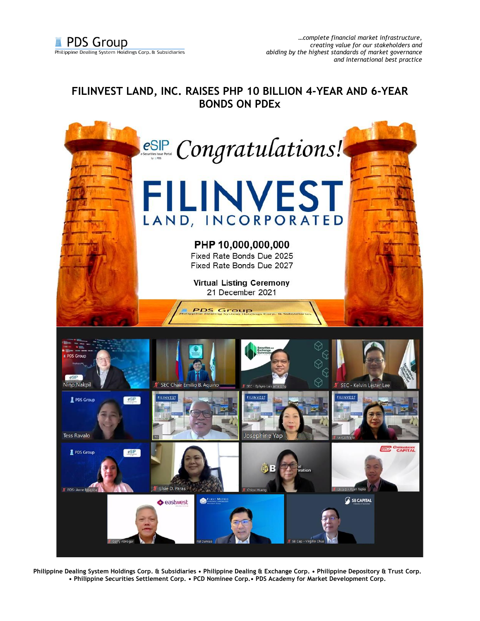## **FILINVEST LAND, INC. RAISES PHP 10 BILLION 4-YEAR AND 6-YEAR BONDS ON PDEx**



**Philippine Dealing System Holdings Corp. & Subsidiaries • Philippine Dealing & Exchange Corp. • Philippine Depository & Trust Corp. • Philippine Securities Settlement Corp. • PCD Nominee Corp.• PDS Academy for Market Development Corp.**